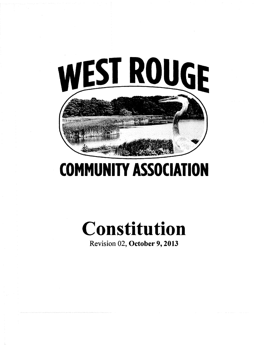

## **COMMUNITY ASSOCIATION**

# **Constitution**

Revision 02, **October 9, 2013**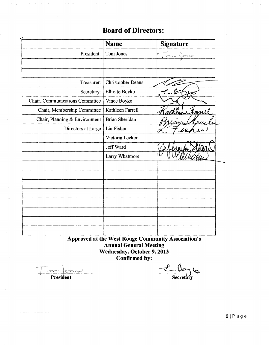### **Board of Directors:**

|                                 | <b>Name</b>              | <b>Signature</b> |
|---------------------------------|--------------------------|------------------|
| President:                      | Tom Jones                | $\sim$           |
|                                 |                          |                  |
| Treasurer:                      | <b>Christopher Deans</b> |                  |
| Secretary:                      | Elliotte Boyko           |                  |
| Chair, Communications Committee | Vince Boyko              |                  |
| Chair, Membership Committee     | Kathleen Farrell         |                  |
| Chair, Planning & Environment   | <b>Brian Sheridan</b>    |                  |
| Directors at Large              | Lin Fisher               |                  |
|                                 | Victoria Lecker          |                  |
|                                 | Jeff Ward                |                  |
|                                 | Larry Whatmore           |                  |
|                                 |                          |                  |
|                                 |                          |                  |
|                                 |                          |                  |
|                                 |                          |                  |
|                                 |                          |                  |
|                                 |                          |                  |
|                                 |                          |                  |
|                                 |                          |                  |

Approved at the West Rouge Community Association's<br>Annual General Meeting Wednesday, October 9, 2013<br>Confirmed by:

on force President

 $\frac{\ell}{\sqrt{\frac{2}{3}}\sqrt{2}}$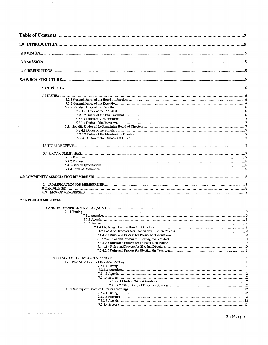| 5.2.3 Specific Duties of the Executive measurement contains the control of the Executive measurement of the Executive measurement of the Second St. |  |
|-----------------------------------------------------------------------------------------------------------------------------------------------------|--|
|                                                                                                                                                     |  |
|                                                                                                                                                     |  |
|                                                                                                                                                     |  |
|                                                                                                                                                     |  |
|                                                                                                                                                     |  |
|                                                                                                                                                     |  |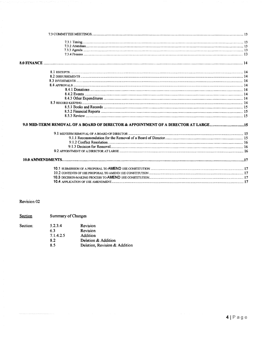| <b>8.0 FINANCE</b> |                                                                                    |  |
|--------------------|------------------------------------------------------------------------------------|--|
|                    |                                                                                    |  |
|                    |                                                                                    |  |
|                    |                                                                                    |  |
|                    |                                                                                    |  |
|                    |                                                                                    |  |
|                    |                                                                                    |  |
|                    |                                                                                    |  |
|                    |                                                                                    |  |
|                    |                                                                                    |  |
|                    |                                                                                    |  |
|                    |                                                                                    |  |
|                    | 9.0 MID-TERM REMOVAL OF A BOARD OF DIRECTOR & APPOINTMENT OF A DIRECTOR AT LARGE15 |  |
|                    |                                                                                    |  |
|                    |                                                                                    |  |
|                    |                                                                                    |  |
|                    |                                                                                    |  |
|                    |                                                                                    |  |
|                    |                                                                                    |  |
|                    |                                                                                    |  |
|                    |                                                                                    |  |
|                    |                                                                                    |  |
|                    |                                                                                    |  |
|                    |                                                                                    |  |

Revision 02

Section

Summary of Changes

| Section: | 5.2.3.4   | Revision                      |
|----------|-----------|-------------------------------|
|          | 63        | Revision                      |
|          | 7.1.4.2.5 | Addition                      |
|          | 82        | Deletion & Addition           |
|          | 85        | Deletion, Revision & Addition |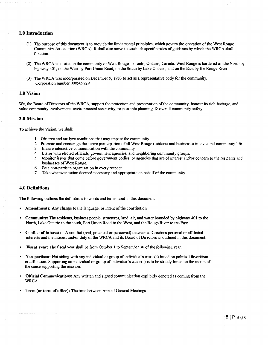#### **1.0 Introduction**

- (1) The purpose of this document is to provide the fundamental principles, which govern the operation of the West Rouge Community Association (WRCA). **It** shall also serve to establish specific rules of guidance by which the WRCA shall function
- (2) The WRCA is located in the community of West Rouge, Toronto, Ontario, Canada. West Rouge is bordered on the North by highway 401, on the West by Port Union Road, on the South by Lake Ontario, and on the East by the Rouge River.
- (3) The WRCA was incorporated on December 9, 1983 to act as a representative body for the community. Corporation number 000569729.

#### **1.0 Vision**

We, the Board of Directors of the WRCA, support the protection and preservation of the community, honour its rich heritage, and value community involvement, environmental sensitivity, responsible planning, & overall community safety.

#### **2.0 Mission**

To achieve the Vision, we shall:

- 1. Observe and analyze conditions that may impact the community.
- 2. Promote and encourage the active participation of all West Rouge residents and businesses in civic and community life.
- 3. Ensure interactive communication with the community.
- 4. Liaise with elected officials, government agencies, and neighboring community groups.
- 5. Monitor issues that come before government bodies, or agencies that are of interest and/or concern to the residents and businesses of West Rouge.
- 6. Be a non-partisan organization in every respect.
- 7. Take whatever action deemed necessary and appropriate on behalf of the community.

#### **4.0 Definitions**

The following outlines the defmitions to words and terms used in this document:

- Amendments: Any change to the language, or intent of the constitution.
- **Community:** The residents, business people, structures, land, air, and water bounded by highway 401 to the North, Lake Ontario to the south, Port Union Road to the West, and the Rouge River to the East.
- **Conflict of Interest:** A conflict (real, potential or perceived) between a Director's personal or affiliated interests and the interest and/or duty of the WRCA and its Board of Directors as outlined in this document.
- **Fiscal Year:** The fiscal year shall be from October 1 to September 30 of the following year.
- **Non-partisan:** Not siding with any individual or group of individual's cause(s) based on political favoritism or affiliation Supporting an individual or group of individual's cause(s) is to be strictly based on the merits of the cause supporting the mission.
- **Official Communications:** Any written and signed communication explicitly denoted as coming from the WRCA
- **Term (or term of office):** The time between Annual General Meetings.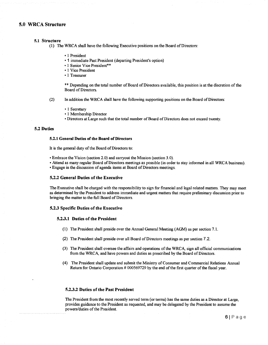#### **5.0 WRCA Structure**

#### **5.1 Structure**

(1) The WRCA shall have the following Executive positions on the Board of Directors:

- 1 President
- 1 immediate Past President (departing President's option)
- 1 Senior Vice President\*\*
- 1 Vice President
- 1 Treasurer

\*\* Depending on the total number of Board of Directors available, this position is at the discretion of the Board of Directors.

(2) In addition the WRCA shall have the following supporting positions on the Board of Directors:

- 1 Secretary
- 1 Membership Director
- Directors at Large such that the total number of Board of Directors does not exceed twenty.

#### **5.2 Duties**

#### **5.2.1 General Duties** of the **Board** of Directors

It is the general duty of the Board of Directors to:

- Embrace the Vision (section 2.0) and carryout the Mission (section 3.0).
- Attend as many regular Board of Directors meetings as possible (in order to stay informed in all WRCA business).
- Engage in the discussion of agenda items at Board of Directors meetings.

#### **5.2.2 General Duties of the Executive**

The Executive shall be charged with the responsibility to sign for fmancial and legal related matters. They may meet as determined by the President to address immediate and urgent matters that require preliminary discussion prior to bringing the matter to the full Board of Directors.

#### **5.2.3 Specific Duties of the Executive**

#### **5.2.3.1 Duties of the President**

- (1) The President shall preside over the Annual General Meeting (AGM) as per section 7.1.
- (2) The President shall preside over all Board of Directors meetings as per section 7.2.
- (3) The President shall oversee the affairs and operations of the WRCA, sign all official communications from the WRCA, and have powers and duties as prescribed by the Board of Directors.
- (4) The President shall update and submit the Ministry of Consumer and Commercial Relations Annual Return for Ontario Corporation # 000569729 by the end of the first quarter of the fiscal year.

#### **5.2.3.2 Duties of the Past President**

The President from the most recently served term (or terms) has the same duties as a Director at Large, provides guidance to the President as requested, and may be delegated by the President to assume the powers/duties of the President.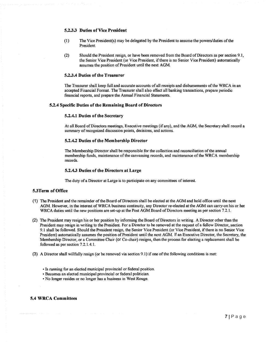#### **5.2.3.3 Duties** of Vice **President**

- (1) The Vice President(s) may be delegated by the President to assume the powers/duties of the President.
- (2) Should the President resign, or have been removed from the Board of Directors as per section 9.1, the Senior Vice President (or Vice President, if there is no Senior Vice President) automatically assumes the position of President until the next AGM

#### **5.2.3.4 Duties of tbe Treasurer**

The Treasurer shall keep full and accurate accounts of all receipts and disbursements of the WRCA in an accepted Financial Format. The Treasurer shall also effect all banking transactions, prepare periodic financial reports, and prepare the Annual Financial Statements.

#### **5.2.4 Specific Duties of tbe Remaining Board of Directors**

#### **5.2.4.1 Duties of the Secretary**

At all Board of Directors meetings, Executive meetings (if any), and the AGM, the Secretary shall record a summary of recognized discussion points, decisions, and actions.

#### **5.2.4.2 Duties of the Membership Director**

The Membership Director shall be responsible for the collection and reconciliation of the annual membership funds, maintenance of the canvassing records, and maintenance of the WRCA membership records.

#### **5.2.4.3 Duties of tbe Directors at Large**

The duty of a Director at Large is to participate on any committees of interest.

#### **5.3Term of Office**

- (1) The President and the remainder of the Board of Directors shall be elected at the AGM and hold office until the next AGM However, in the interest of WRCA business continuity, any Director re-elected at the AGM can carry-on his or her WRCA duties until the new positions are set-up at the Post AGM Board of Directors meeting as per section 7.2.1.
- (2) The President may resign his or her position by informing the Board of Directors in writing. A Director other than the President may resign in writing to the President. For a Director to be removed at the request of a fellow Director, section 9.1 shall be followed. Should the President resign, the Senior Vice President (or Vice President, if there is no Senior Vice President) automatically assumes the position of President until the next AGM **If** an Executive Director, the Secretary, the Membership Director, or a Committee Chair (or Co-chair) resigns, then the process for electing a replacement shall be followed as per section 7.2.1.4.1.
- (3) A Director shall willfully resign (or be removed via section 9.1) if one of the following conditions is met:
	- Is running for an elected municipal provincial or federal position.
	- Becomes an elected municipal provincial or federal politician.
	- No longer resides or no longer has a business in West Rouge.

#### **5.4 WRCA Committees**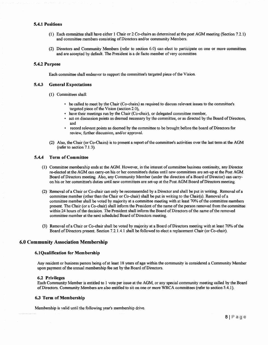#### **5.4.1 Positions**

- (1) Each committee shall have either 1 Chair or 2 Co-chairs as determined at the post AGM meeting (Section 7.2.1) and committee members consisting of Directors and/or community Members.
- (2) Directors and Community Members (refer to section 6.0) can elect to participate on one or more committees and are accepted by default. The President is a de facto member of very committee.

#### **5.4.2 Purpose**

Each committee shall endeavor to support the committee's targeted piece of the Vision.

#### **5.4.3 General Expectations**

- (1) Committees shall:
	- be called to meet by the Chair (Co-chairs) as required to discuss relevant issues to the committee's targeted piece of the Vision (section 2.0),
	- have their meetings run by the Chair (Co-chair), or delegated committee member,
	- act on discussion points as deemed necessary by the committee, or as directed by the Board of Directors, and
	- record relevant points as deemed by the committee to be brought before the board of Directors for review, further discussion, and/or approval.
- (2) Also, the Chair (or Co-Chairs) is to present a report of the committee's activities over the last term at the AGM (refer to section 7.1.3).

#### **5.4.4 Term of Committee**

- (1) Committee membership ends at the AGM However, in the interest of committee business continuity, any Director re-elected at the AGM can carry-on his or her committee's duties until new committees are set-up at the Post AGM Board of Directors meeting. Also, any Community Member (under the direction of a Board of Director) can carryon his or her committee's duties until new committees are set-up at the Post AGM Board of Directors meeting.
- (2) Removal of a Chair or Co-chair can only be recommended by a Director and shall be put in writing. Removal of a committee member (other than the Chair or Co-chair) shall be put in writing to the Chair(s). Removal of a committee member shall be voted by majority at a committee meeting with at least 70% of the committee members present. The Chair (or a Co-chair) shall inform the President of the name of the person removed from the committee within 24 hours of the decision. The President shall inform the Board of Directors of the name of the removed committee member at the next scheduled Board of Directors meeting.
- (3) Removal of a Chair or Co-chair shall be voted by majority at a Board of Directors meeting with at least 70% of the Board of Directors present. Section 7.2.1.4.1 shall be followed to elect a replacement Chair (or Co-chair).

#### **6.0 Community Association Membership**

#### **6.1Qualification for Membership**

Any resident or business person being of at least 18 years of age within the community is considered a Community Member upon payment of the annual membership fee set by the Board of Directors.

#### **6.2 Privileges**

Each Community Member is entitled to 1 vote per issue at the AGM, or any special community meeting called by the Board of Directors. Community Members are also entitled to sit on one or more WRCA committees (refer to section 5.4.1).

#### **6.3 Term** of Membership

Membership is valid until the following year's membership drive.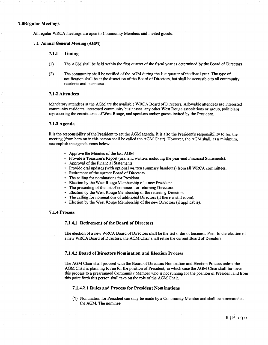#### **7.0Regular Meetings**

All regular WRCA meetings are open to Community Members and invited guests.

#### **7.1 Annual General Meeting (AGM)**

#### **7.1.1 Timing**

- (1) The AGM shall be held within the first quarter of the fiscal year as determined by the Board of Directors
- (2) The community shall be notified of the AGM during the last quarter of the fiscal year. The type of notification shall be at the discretion of the Board of Directors, but shall be accessible to all community residents and businesses.

#### **7.1.2 Attendees**

Mandatory attendees at the AGM are the available WRCA Board of Directors. Allowable attendees are interested community residents, interested community businesses, any other West Rouge associations or group, politicians representing the constituents of West Rouge, and speakers and/or guests invited by the President.

#### **7.1.3 Agenda**

**It** is the responsibility of the President to set the AGM agenda. **It** is also the President's responsibility to run the meeting (from here on in this person shall be called the AGM Chair). However, the AGM shall, as a minimum, accomplish the agenda items below:

- Approve the Minutes of the last AGM
- Provide a Treasurer's Report (oral and written, including the year-end Financial Statements).
- Approval of the Financial Statements.
- Provide oral updates (with optional written summary handouts) from all WRCA committees.
- Retirement of the current Board of Directors.
- The calling for nominations for President.
- Election by the West Rouge Membership of a new President.
- The presenting of the list of nominees for returning Directors.
- Election by the West Rouge Membership of the returning Directors.
- The calling for nominations of additional Directors (if there is still room).
- Election by the West Rouge Membership of the new Directors (if applicable).

#### **7.1.4 Process**

#### **7.1.4.1 Retirement of the Board of Directors**

The election of a new WRCA Board of Directors shall be the last order of business. Prior to the election of a new WRCA Board of Directors, the AGM Chair shall retire the current Board of Directors.

#### **7.1.4.2 Board** of Directors **Nomination and Election Process**

The AGM Chair shall proceed with the Board of Directors Nomination and Election Process unless the AGM Chair is planning to run for the position of President; in which case the AGM Chair shall turnover this process to a prearranged Community Member who is not running for the position of President and from this point forth this person shall take on the role of the AGM Chair.

#### **7.1.4.2.1 Rules and Process for President Nominations**

(1) Nomination for President can only be made by a Community Member and shall be nominated at the AGM. The nominee: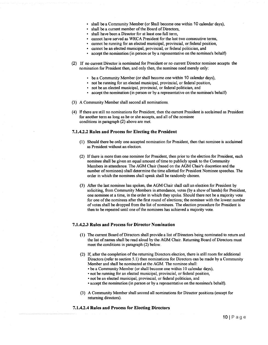- shall be a Community Member (or \$hall become one within **10** calendar days),
- shall be a current member of the Board of Directors,
- shall have been a Director for at least one full term,
- cannot have served as WRCA President for the last two consecutive terms,
- cannot be running for an elected municipal, provincial, or federal position,
- cannot be an elected municipal, provincial, or federal politician, and
- accept the nomination (in person or by a representative on the nominee's behalf)
- (2) If no current Director is nominated for President or no current Director nominee accepts the nomination for President then, and only then, the nominee need merely only:
	- be a Community Member (or shall become one within 10 calendar days),
	- not be running for an elected municipal, provincial, or federal position,
	- not be an elected municipal, provincial, or federal politician, and
	- accept the nomination (in person or by a representative on the nominee's behalf)
- (3) A Community Member shall second all nominations.
- (4) **If** there are still no nominations for President, then the current President is acclaimed as President for another term as long as he or she accepts, and all of the nominee conditions in paragraph (2) above are met.

#### **7.1.4.2.2 Rules and Process for Electing the President**

- (1) Should there be only one accepted nomination for President, then that nominee is acclaimed as President without an election.
- (2) If there is more than one nominee for President, then prior to the election for President, each nominee shall be given an equal amount of time to publicly speak to the Community Members in attendance. The AGM Chair (based on the AGM Chair's discretion and the number of nominees) shall determine the time allotted for President Nominee speeches. The order in which the nominees shall speak shall be randomly chosen.
- (3) After the last nominee has spoken, the AGM Chair shall call an election for President by soliciting, from Community Members in attendance, votes (by a show of hands) for President, one nominee at a time, in the order in which they spoke. Should there not be a majority vote for one of the nominees after the first round of elections; the nominee with the lowest number of votes shall be dropped from the list of nominees. The election procedure for President is then to be repeated until one of the nominees has achieved a majority vote.

#### **7.1.4.2.3 Rules and Process for Director Nomination**

- (1) The current Board of Directors shall provide a list of Directors being nominated to return and the list of names shall be read aloud by the AGM Chair. Returning Board of Directors must meet the conditions in paragraph (2) below.
- (2) If, after the completion of the returning Directors election, there is still room for additional Directors (refer to section 5.1) then nominations for Directors can be made by a Community Member and shall be nominated at the AGM. The nominee shall:
	- be a Community Member (or shall become one within 10 calendar days),
	- not be running for an elected municipal, provincial, or federal position,
	- not be an elected municipal, provincial, or federal politician, and
	- accept the nomination (in person or by a representative on the nominee's behalf).
- (3) A Community Member shall second all nominations for Director positions (except for returning directors).
- **7.1.4.2.4 Rules and Process for Electing Directors**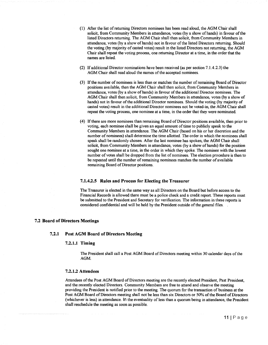- (1) After the list of returning Directors nominees has been read aloud, the AGM Chair shall solicit, from Community Members in attendance, votes (by a show of hands) in favour of the listed Directors returning. The AGM Chair shall then solicit, from Community Members in attendance, votes (by a show of hands) not in favour of the listed Directors returning. Should the voting (by majority of casted votes) result in the listed Directors not returning, the AGM Chair shall repeat the voting process, one returning Director at a time, in the order that the names are listed.
- (2) If additional Director nominations have been received (as per section 7.1.4.2.3) the AGM Chair shall read aloud the names of the accepted nominees.
- (3) If the number of nominees is less than or matches the number of remaining Board of Director positions available, then the AGM Chair shall then solicit, from Community Members in attendance, votes (by a show of hands) in favour of the additional Director nominees. The AGM Chair shall then solicit, from Community Members in attendance, votes (by a show of hands) not in favour of the additional Director nominees. Should the voting (by majority of casted votes) result in the additional Director nominees not be voted-in, the AGM Chair shall repeat the voting process, one nominee at a time, in the order that they were nominated.
- (4) If there are more nominees than remaining Board of Director positions available, then prior to voting, each nominee shall be given an equal amount of time to publicly speak to the Community Members in attendance. The AGM Chair (based on his or her discretion and the number of nominees) shall determine the time allotted. The order in which the nominees shall speak shall be randomly chosen After the last nominee has spoken, the AGM Chair shall solicit, from Community Members in attendance, votes (by a show of hands) for the position sought one nominee at a time, in the order in which they spoke. The nominee with the lowest number of votes shall be dropped from the list of nominees. The election procedure is then to be repeated until the number of remaining nominees matches the number of available remaining Board of Director positions.

#### **7.1.4.2.5 Rules and Process for Electing the Treasurer**

The Treasurer is elected in the same way as all Directors on the Board but before access to the Financial Records is allowed there must be a police check and a credit report. These reports must be submitted to the President and Secretary for verification The information in these reports is considered confidential and will be held by the President outside of the general files. .

#### **7.2 Board** of Directors **Meetings**

#### **7.2.1 Post AGM Board** of Directors **Meeting**

#### **7.2.1.1 Timing**

The President shall call a Post AGM Board of Directors meeting within 30 calendar days of the AGM.

#### **7.2.1.2 Attendees**

Attendees of the Post AGM Board of Directors meeting are the recently elected President, Past President, and the recently elected Directors. Community Members are free to attend and observe the meeting providing the President is notified prior to the meeting. The quorum for the transaction of business at the Post AGM Board of Directors meeting shall not be less than six Directors or 50% of the Board of Directors (whichever is less) in attendance. In the eventuality of less than a quorum being in attendance, the President shall reschedule the meeting as soon as possible.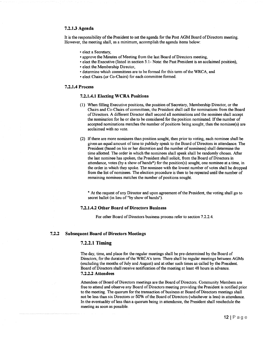#### **7.2.1.3 Agenda**

It is the responsibility of the President to set the agenda for the Post AGM Board of Directors meeting. However, the meeting shall, as a minimum, accomplish the agenda items below:

- elect a Secretary,
- approve the Minutes of Meeting from the last Board of Directors meeting.
- elect the Executive (listed in section 5.1- Note: the Past President is an acclaimed position),
- elect the Membership Director,
- determine which committees are to be formed for this term of the WRCA, and
- elect Chairs (or Co-Chairs) for each committee formed.

#### **7.2.1.4 Process**

#### **7.2.1.4.1 Electing WCRA Positions**

- (1) When filling Executive positions, the position of Secretary, Membership Director, or the Chairs and Co-Chairs of committees, the President shall call for nominations from the Board of Directors. A different Director shall second all nominations and the nominee shall accept the nomination for he or she to be considered for the position nominated. If the number of accepted nominations matches the number of positions being sought, then the nominee(s) are acclaimed with no vote.
- (2) If there are more nominees than position sought, then prior to voting, each nominee shall be given an equal amount of time to publicly speak to the Board of Directors in attendance. The President (based on his or her discretion and the number of nominees) shall determine the time allotted. The order in which the nominees shall speak shall be randomly chosen. After the last nominee has spoken, the President shall solicit, from the Board of Directors in attendance, votes (by a show of hands\*) for the position(s) sought, one nominee at a time, in the order in which they spoke. The nominee with the lowest number of votes shall be dropped from the list of nominees. The election procedure is then to be repeated until the number of remaining nominees matches the number of positions sought.

\* At the request of any Director and upon agreement of the President, the voting shall go to secret ballot (in lieu of "by show of hands").

#### **7.2.1.4.2 Other Board** of Directors **Business**

For other Board of Directors business process refer to section 7.2.2.4.

#### **7.2.2 Subsequent Board of Directors Meetings**

#### **7.2.2.1 Timing**

The day, time, and place for the regular meetings shall be pre-determined by the Board of Directors, for the duration of the WRCA's term. There shall be regular meetings between AGMs (excluding the months of July and August) and at other such times as called by the President. Board of Directors shall receive notification of the meeting at least 48 hours in advance. **7.2.2.2 Attendees** 

Attendees of Board of Directors meetings are the Board of Directors. Community Members are free to attend and observe any Board of Directors meeting providing the President is notified prior to the meeting. The quorum for the transaction of business at Board of Directors meetings shall not be less than six Directors or 50% of the Board of Directors (whichever is less) in attendance. In the eventuality of less than a quorum being in attendance, the President shall reschedule the meeting as soon as possible.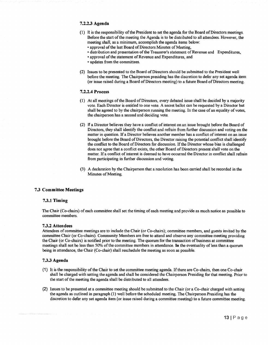#### **7.2.2.3 Agenda**

- (1) **It** is the responsibility of the President to set the agenda for the Board of Directors meetings. Before the start of the meeting the Agenda is to be distributed to all attendees. However, the meeting shall, as a minimum, accomplish the agenda items below:
	- approval of the last Board of Directors Minutes of Meeting,
	- distribution and presentation of the Treasurer's statement of Revenue and Expenditures,
	- approval of the statement of Revenue and Expenditures, and
	- updates from the committees.
- (2) Issues to be presented to the Board of Directors should be submitted to the President well before the meeting. The Chairperson presiding has the discretion to defer any set agenda item (or issue raised during a Board of Directors meeting) to a future Board of Directors meeting.

#### **7.2.2.4 Process**

- (1) At all meetings of the Board of Directors, every debated issue shall be decided by a majority vote. Each Director is entitled to one vote. A secret ballot can be requested by a Director but shall be agreed to by the chairperson running the meeting. In the case of an equality of votes, the chairperson has a second and deciding vote.
- (2) **If** a Director believes they have a conflict of interest on an issue brought before the Board of Directors, they shall identify the conflict and refrain from further discussion and voting on the matter in question. If a Director believes another member has a conflict of interest on an issue brought before the Board of Directors, the Director raising the potential conflict shall identify the conflict to the Board of Directors for discussion. If the Director whose bias is challenged does not agree that a conflict exists, the other Board of Directors present shall vote on the matter. If a conflict of interest is deemed to have occurred the Director in conflict shall refrain from participating in further discussion and voting.
- (3) A declaration by the Chairperson that a resolution has been carried shall be recorded in the Minutes of Meeting.

#### **7.3 Committee Meetings**

#### **7.3.1 Timing**

The Chair (Co-chairs) of each committee shall set the timing of each meeting and provide as much notice as possible to committee members.

#### **7.3.2 Attendees**

Attendees of committee meetings are to include the Chair (or Co-chairs); committee members, and guests invited by the committee Chair (or Co-chairs). Community Members are free to attend and observe any committee meeting providing the Chair (or Co-chairs) is notified prior to the meeting. The quorum for the transaction of business at committee meetings shall not be less than 50% of the committee members in attendance. In the eventuality of less than a quorum being in attendance, the Chair (Co-chair) shall reschedule the meeting as soon as possible.

#### **7.3.3 Agenda**

- (1) It is the responsibility of the Chair to set the committee meeting agenda. If there are Co-chairs, then one Co-chair shall be charged with setting the agenda and shall be considered the Chairperson Presiding for that meeting. Prior to the start of the meeting the agenda shall be distributed to all attendees.
- (2) Issues to be presented at a committee meeting should be submitted to the Chair (or a Co-chair charged with setting the agenda as outlined in paragraph (1) well before the scheduled meeting. The Chairperson Presiding has the discretion to defer any set agenda item (or issue raised during a committee meeting) to a future committee meeting.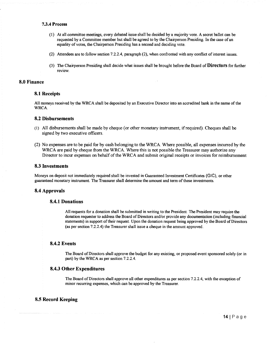#### **7.3.4 Process**

- (1 ) At all committee meetings, every debated issue shall be decided by a majority vote. A secret ballot can be requested by a Committee member but shall be agreed to by the Chairperson Presiding. In the case of an equality of votes, the Chairperson Presiding has a second and deciding vote.
- (2) Attendees are to follow section 7.2.2.4, paragraph (2), when confronted with any conflict of interest issues.
- (3) The Chairperson Presiding shall decide what issues shall be brought before the Board of Directors for further review.

#### **8.0 Finance**

#### **8.1 Receipts**

All moneys received by the WRCA shall be deposited by an Executive Director into an accredited bank in the name of the WRCA

#### **8.2 Disbursements**

- (1) All disbursements shall be made by cheque (or other monetary instnunent, if required). Cheques shall be signed by two executive officers.
- (2) No expenses are to be paid for by cash belonging to the WRCA. Where possible, all expenses incurred by the WRCA are paid by cheque from the WRCA. Where this is not possible the Treasurer may authorize any Director to incur expenses on behalf of the WRCA and submit original receipts or invoices for reimbursement

#### **8.3 Investments**

Moneys on deposit not immediately required shall be invested in Guaranteed Investment Certificates (GIC), or other guaranteed monetary instrument. The Treasurer shall determine the amount and term of these investments.

#### **8.4 Approvals**

#### **8.4.1 Donations**

All requests for a donation shall be submitted in writing to the President. The President may require the donation requester to address the Board of Directors and/or provide any documentation (including fmancial statements) in support oftheir request. Upon the donation request being approved by the Board of Directors (as per section 7.2.2.4) the Treasurer shall issue a cheque in the amount approved.

#### **8.4.2 Events**

The Board of Directors shall approve the budget for any existing, or proposed event sponsored solely (or in part) by the WRCA as per section 7.2.2.4.

#### **8.4.3 Other Expenditures**

The Board of Directors shall approve all other expenditures as per section 7.2.2.4, with the exception of minor recurring expenses, which can be approved by the Treasurer.

#### **8.5 Record Keeping**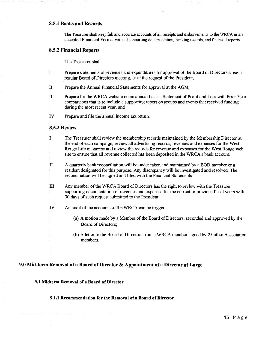#### **8.5.1 Books and Records**

The Treasurer shall keep full and accurate accounts of all receipts and disbursements to the WRCA in an accepted Financial Format with all supporting documentation, banking records, and fmancial reports.

#### **8.5.2 Financial Reports**

The Treasurer shall:

- I Prepare statements of revenues and expenditures for approval of the Board of Directors at each regular Board of Directors meeting, or at the request of the President,
- II Prepare the Annual Financial Statements for approval at the AGM,
- III Prepare for the WRCA website on an annual basis a Statement of Profit and Loss with Prior Year comparisons that is to include a supporting report on groups and events that received funding during the most recent year, and
- IV Prepare and file the annual income tax return.

#### **8.5.3 Review**

- I The Treasurer shall review the membership records maintained by the Membership Director at the end of each campaign, review all advertising records, revenues and expenses for the West Rouge Life magazine and review the records for revenue and expenses for the West Rouge web site to ensure that all revenue collected has been deposited in the WRCA's bank account.
- II A quarterly bank reconciliation will be under taken and maintained by a **BOD** member or a resident designated for this purpose. Any discrepancy will be investigated and resolved. The reconciliation will be signed and fIled with the Financial Statements
- III Any member of the WRCA Board of Directors has the right to review with the Treasurer supporting documentation of revenues and expenses for the current or previous fiscal years with 30 days of such request submitted to the President.
- IV An audit of the accounts of the WRCA can be trigger
	- (a) A motion made by a Member of the Board of Directors, seconded and approved by the Board of Directors;
	- (b) A letter to the Board of Directors from a WRCA member signed by 25 other Association members.

#### **9.0 Mid-term Removal of a Board of Director & Appointment of a Director at Large**

#### **9.1 Midterm Removal of a Board** of Director

#### **9.1.1 Recommendation for the Removal of a Board of Director**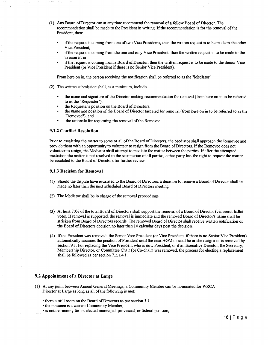- (1) Any Board of Director can at any time recommend the removal of a fellow Board of Director. The recommendation shall be made to the President in writing. If the recommendation is for the removal ofthe President, then:
	- if the request is coming from one of two Vice Presidents, then the written request is to be made to the other Vice President,
	- if the request is coming from the one and only Vice President, then the written request is to be made to the Treasurer, or
	- if the request is coming from a Board of Director, then the written request is to be made to the Senior Vice President (or Vice President if there is no Senior Vice President).

From here on in, the person receiving the notification shall be referred to as the "Mediator"

- (2) The written submission shall, as a minimum, include:
	- the name and signature of the Director making recommendation for removal (from here on in to be referred to as the "Requester"),
	- the Requester's position on the Board of Directors,
	- the name and position of the Board of Director targeted for removal (from here on in to be referred to as the "Removee"), and
	- the rationale for requesting the removal of the Removee.

#### **9.1.2 Conflict Resolution**

Prior to escalating the matter to some or all of the Board of Directors, the Mediator shall approach the Removee and provide them with an opportunity to volunteer to resign from the Board of Directors. If the Removee does not volunteer to resign, the Mediator shall attempt to mediate the matter between the parties. If after the attempted mediation the matter is not resolved to the satisfaction of all parties, either party has the right to request the matter be escalated to the Board of Directors for further review.

#### **9.1.3 Decision for Removal**

- (1) Should the dispute have escalated to the Board of Directors, a decision to remove a Board of Director shall be made no later than the next scheduled Board of Directors meeting.
- (2) The Mediator shall be in charge of the removal proceedings.
- (3) At least 70% of the total Board of Directors shall support the removal of a Board of Director (via secret ballot vote). If removal is supported, the removal is immediate and the removed Board of Director's name shall be stricken from Board of Directors records. The removed Board of Director shall receive written notification of the Board of Directors decision no later than 10 calendar days post the decision.
- (4) If the President was removed, the Senior Vice President (or Vice President, if there is no Senior Vice President) automatically assumes the position of President until the next AGM or until he or she resigns or is removed by section 9.1. For replacing the Vice President who is now President, or if an Executive Director, the Secretary, Membership Director, or Committee Chair (or Co-chair) was removed, the process for electing a replacement shall be followed as per section 7.2.1.4.1.

#### **9.2 Appointment of a Director at Large**

- (1) At any point between Annual General Meetings, a Community Member can be nominated for WRCA Director at Large as long as all of the following is met:
	- there is still room on the Board of Directors as per section 5.1,
	- $\bullet$  the nominee is a current Community Member,
	- is not be running for an elected municipal, provincial, or federal position,